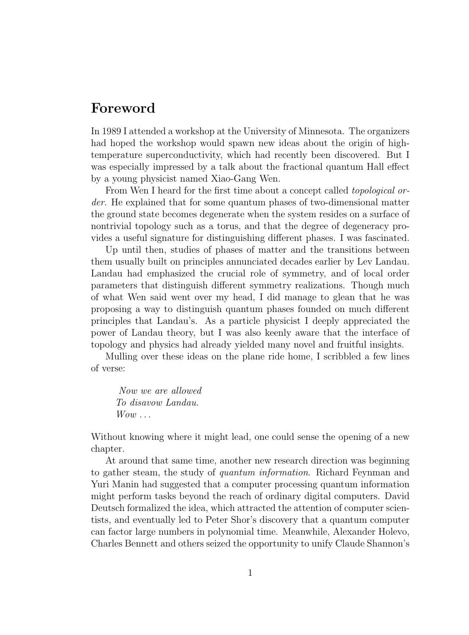## Foreword

In 1989 I attended a workshop at the University of Minnesota. The organizers had hoped the workshop would spawn new ideas about the origin of hightemperature superconductivity, which had recently been discovered. But I was especially impressed by a talk about the fractional quantum Hall effect by a young physicist named Xiao-Gang Wen.

From Wen I heard for the first time about a concept called *topological or*der. He explained that for some quantum phases of two-dimensional matter the ground state becomes degenerate when the system resides on a surface of nontrivial topology such as a torus, and that the degree of degeneracy provides a useful signature for distinguishing different phases. I was fascinated.

Up until then, studies of phases of matter and the transitions between them usually built on principles annunciated decades earlier by Lev Landau. Landau had emphasized the crucial role of symmetry, and of local order parameters that distinguish different symmetry realizations. Though much of what Wen said went over my head, I did manage to glean that he was proposing a way to distinguish quantum phases founded on much different principles that Landau's. As a particle physicist I deeply appreciated the power of Landau theory, but I was also keenly aware that the interface of topology and physics had already yielded many novel and fruitful insights.

Mulling over these ideas on the plane ride home, I scribbled a few lines of verse:

Now we are allowed To disavow Landau.  $Wow \dots$ 

Without knowing where it might lead, one could sense the opening of a new chapter.

At around that same time, another new research direction was beginning to gather steam, the study of quantum information. Richard Feynman and Yuri Manin had suggested that a computer processing quantum information might perform tasks beyond the reach of ordinary digital computers. David Deutsch formalized the idea, which attracted the attention of computer scientists, and eventually led to Peter Shor's discovery that a quantum computer can factor large numbers in polynomial time. Meanwhile, Alexander Holevo, Charles Bennett and others seized the opportunity to unify Claude Shannon's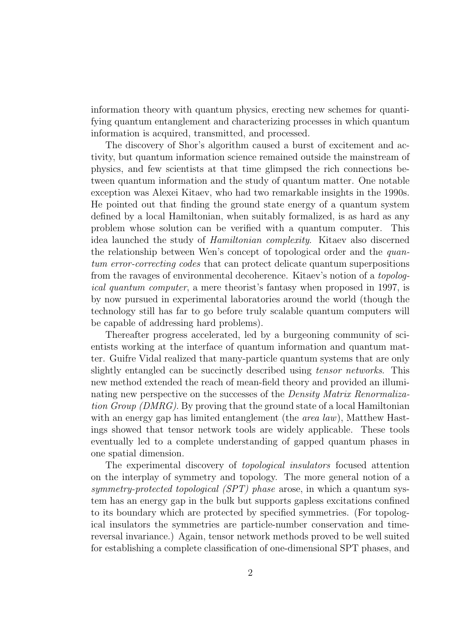information theory with quantum physics, erecting new schemes for quantifying quantum entanglement and characterizing processes in which quantum information is acquired, transmitted, and processed.

The discovery of Shor's algorithm caused a burst of excitement and activity, but quantum information science remained outside the mainstream of physics, and few scientists at that time glimpsed the rich connections between quantum information and the study of quantum matter. One notable exception was Alexei Kitaev, who had two remarkable insights in the 1990s. He pointed out that finding the ground state energy of a quantum system defined by a local Hamiltonian, when suitably formalized, is as hard as any problem whose solution can be verified with a quantum computer. This idea launched the study of Hamiltonian complexity. Kitaev also discerned the relationship between Wen's concept of topological order and the quantum error-correcting codes that can protect delicate quantum superpositions from the ravages of environmental decoherence. Kitaev's notion of a topological quantum computer, a mere theorist's fantasy when proposed in 1997, is by now pursued in experimental laboratories around the world (though the technology still has far to go before truly scalable quantum computers will be capable of addressing hard problems).

Thereafter progress accelerated, led by a burgeoning community of scientists working at the interface of quantum information and quantum matter. Guifre Vidal realized that many-particle quantum systems that are only slightly entangled can be succinctly described using *tensor networks*. This new method extended the reach of mean-field theory and provided an illuminating new perspective on the successes of the Density Matrix Renormalization Group (DMRG). By proving that the ground state of a local Hamiltonian with an energy gap has limited entanglement (the *area law*), Matthew Hastings showed that tensor network tools are widely applicable. These tools eventually led to a complete understanding of gapped quantum phases in one spatial dimension.

The experimental discovery of topological insulators focused attention on the interplay of symmetry and topology. The more general notion of a symmetry-protected topological (SPT) phase arose, in which a quantum system has an energy gap in the bulk but supports gapless excitations confined to its boundary which are protected by specified symmetries. (For topological insulators the symmetries are particle-number conservation and timereversal invariance.) Again, tensor network methods proved to be well suited for establishing a complete classification of one-dimensional SPT phases, and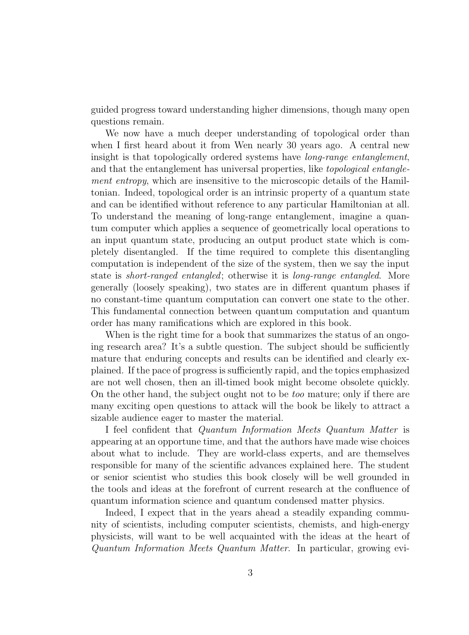guided progress toward understanding higher dimensions, though many open questions remain.

We now have a much deeper understanding of topological order than when I first heard about it from Wen nearly 30 years ago. A central new insight is that topologically ordered systems have *long-range entanglement*, and that the entanglement has universal properties, like topological entanglement entropy, which are insensitive to the microscopic details of the Hamiltonian. Indeed, topological order is an intrinsic property of a quantum state and can be identified without reference to any particular Hamiltonian at all. To understand the meaning of long-range entanglement, imagine a quantum computer which applies a sequence of geometrically local operations to an input quantum state, producing an output product state which is completely disentangled. If the time required to complete this disentangling computation is independent of the size of the system, then we say the input state is short-ranged entangled; otherwise it is long-range entangled. More generally (loosely speaking), two states are in different quantum phases if no constant-time quantum computation can convert one state to the other. This fundamental connection between quantum computation and quantum order has many ramifications which are explored in this book.

When is the right time for a book that summarizes the status of an ongoing research area? It's a subtle question. The subject should be sufficiently mature that enduring concepts and results can be identified and clearly explained. If the pace of progress is sufficiently rapid, and the topics emphasized are not well chosen, then an ill-timed book might become obsolete quickly. On the other hand, the subject ought not to be too mature; only if there are many exciting open questions to attack will the book be likely to attract a sizable audience eager to master the material.

I feel confident that Quantum Information Meets Quantum Matter is appearing at an opportune time, and that the authors have made wise choices about what to include. They are world-class experts, and are themselves responsible for many of the scientific advances explained here. The student or senior scientist who studies this book closely will be well grounded in the tools and ideas at the forefront of current research at the confluence of quantum information science and quantum condensed matter physics.

Indeed, I expect that in the years ahead a steadily expanding community of scientists, including computer scientists, chemists, and high-energy physicists, will want to be well acquainted with the ideas at the heart of Quantum Information Meets Quantum Matter. In particular, growing evi